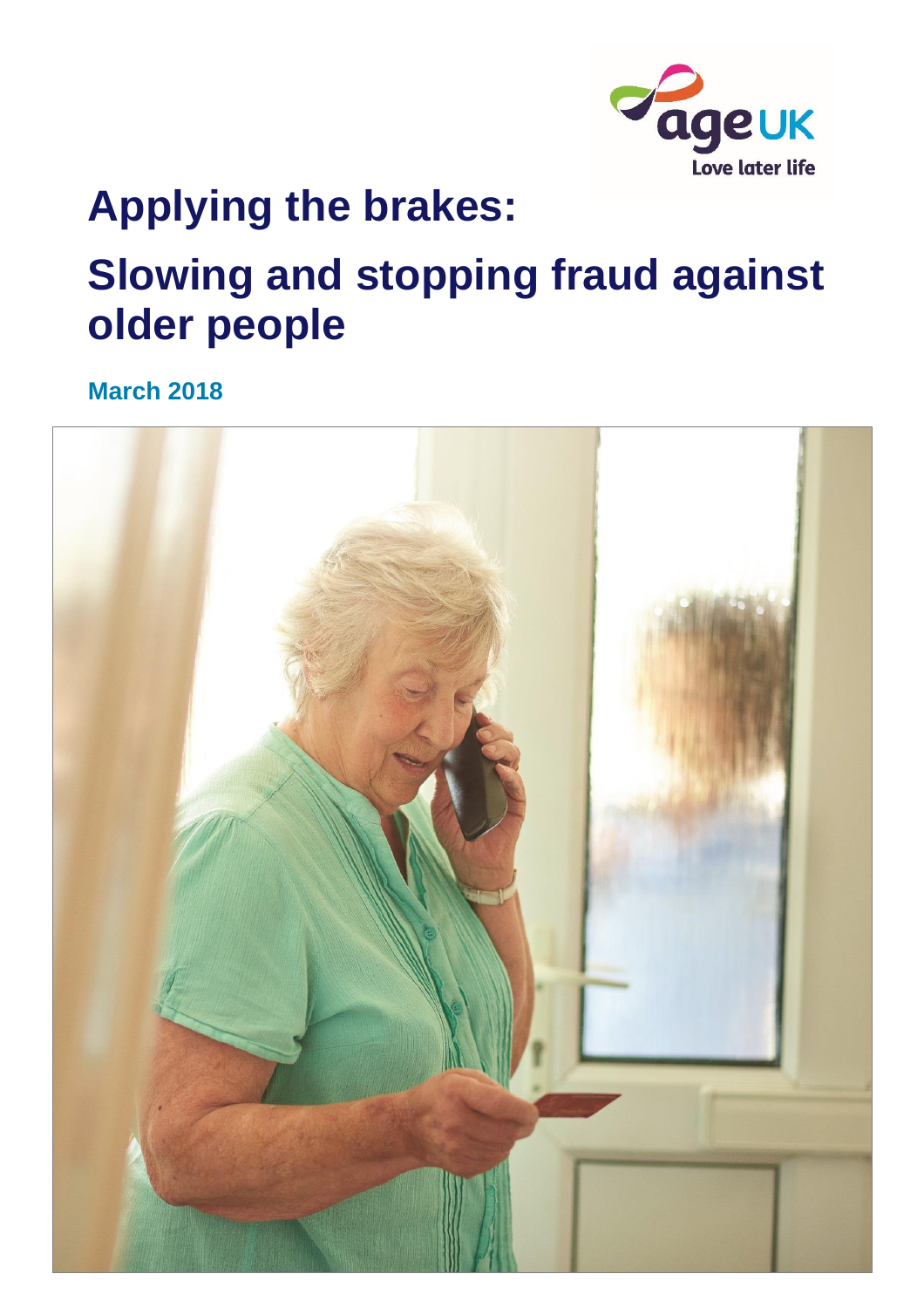

# **Applying the brakes: Slowing and stopping fraud against older people**

**March 2018**

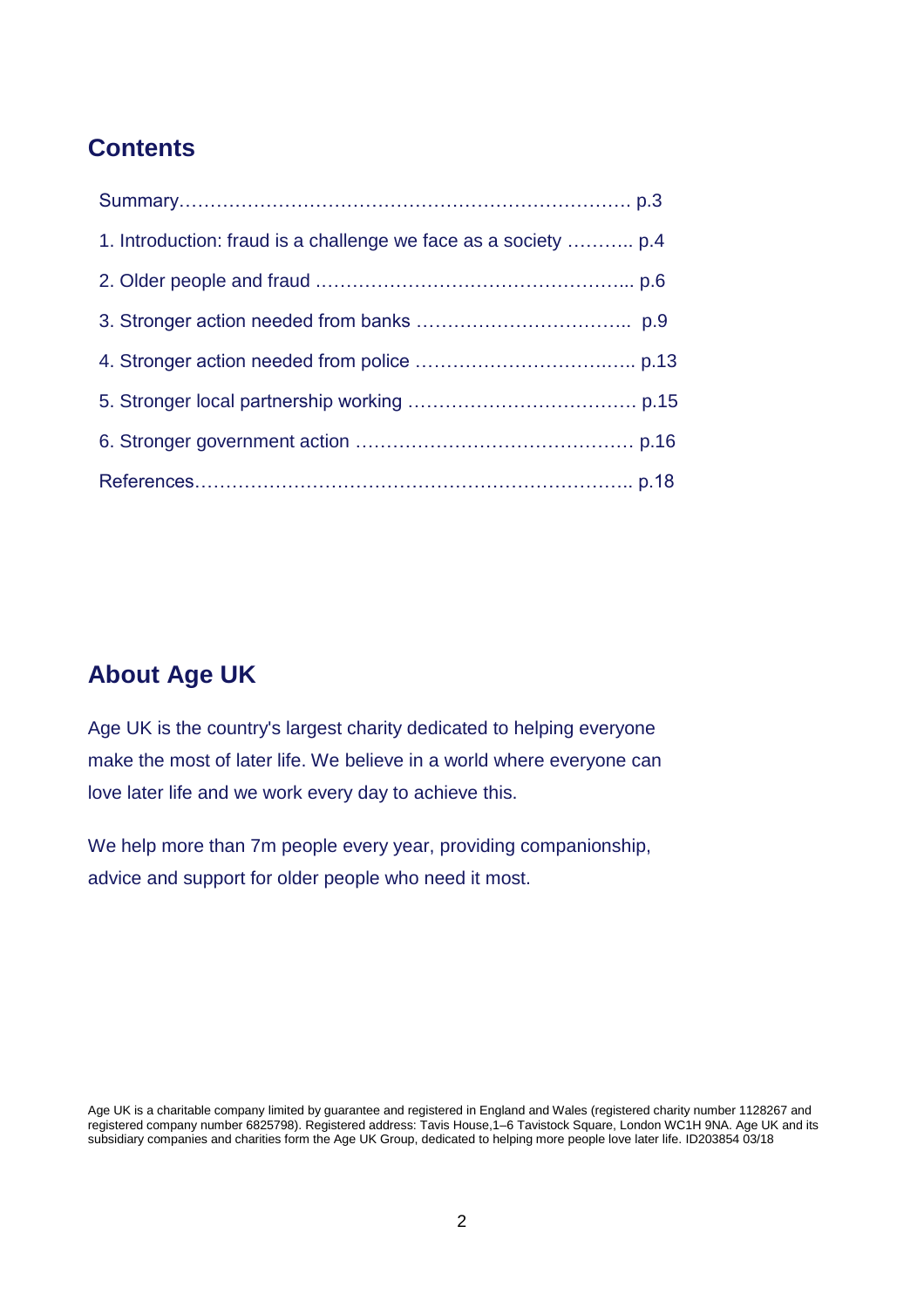### **Contents**

### **About Age UK**

Age UK is the country's largest charity dedicated to helping everyone make the most of later life. We believe in a world where everyone can love later life and we work every day to achieve this.

We help more than 7m people every year, providing companionship, advice and support for older people who need it most.

Age UK is a charitable company limited by guarantee and registered in England and Wales (registered charity number 1128267 and registered company number 6825798). Registered address: Tavis House,1–6 Tavistock Square, London WC1H 9NA. Age UK and its subsidiary companies and charities form the Age UK Group, dedicated to helping more people love later life. ID203854 03/18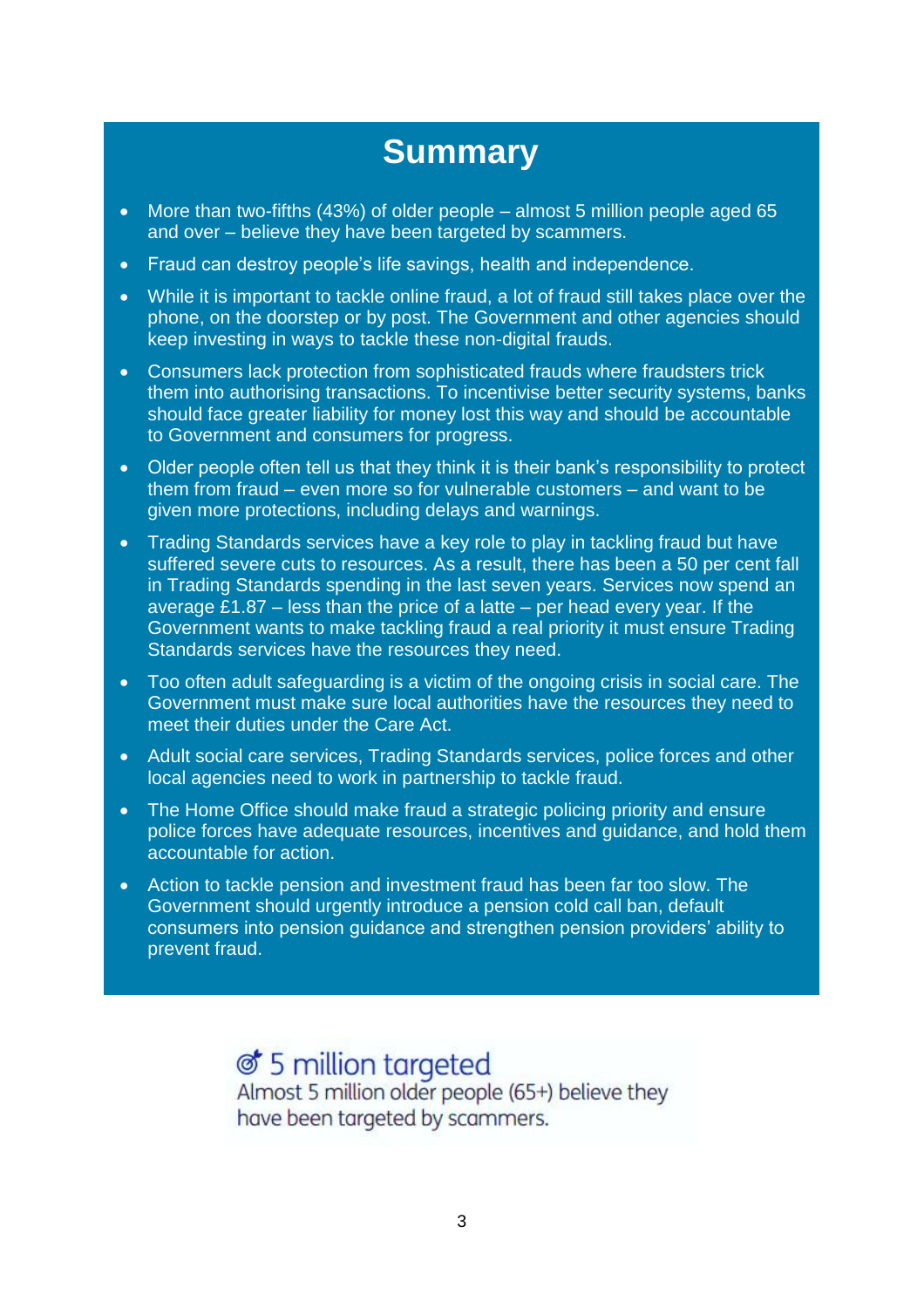### **Summary**

- More than two-fifths (43%) of older people almost 5 million people aged 65 and over – believe they have been targeted by scammers.
- Fraud can destroy people's life savings, health and independence.
- While it is important to tackle online fraud, a lot of fraud still takes place over the phone, on the doorstep or by post. The Government and other agencies should keep investing in ways to tackle these non-digital frauds.
- Consumers lack protection from sophisticated frauds where fraudsters trick them into authorising transactions. To incentivise better security systems, banks should face greater liability for money lost this way and should be accountable to Government and consumers for progress.
- Older people often tell us that they think it is their bank's responsibility to protect them from fraud – even more so for vulnerable customers – and want to be given more protections, including delays and warnings.
- Trading Standards services have a key role to play in tackling fraud but have suffered severe cuts to resources. As a result, there has been a 50 per cent fall in Trading Standards spending in the last seven years. Services now spend an average £1.87 – less than the price of a latte – per head every year. If the Government wants to make tackling fraud a real priority it must ensure Trading Standards services have the resources they need.
- Too often adult safeguarding is a victim of the ongoing crisis in social care. The Government must make sure local authorities have the resources they need to meet their duties under the Care Act.
- Adult social care services, Trading Standards services, police forces and other local agencies need to work in partnership to tackle fraud.
- The Home Office should make fraud a strategic policing priority and ensure police forces have adequate resources, incentives and guidance, and hold them accountable for action.
- Action to tackle pension and investment fraud has been far too slow. The Government should urgently introduce a pension cold call ban, default consumers into pension guidance and strengthen pension providers' ability to prevent fraud.

♂ 5 million targeted Almost 5 million older people (65+) believe they have been targeted by scammers.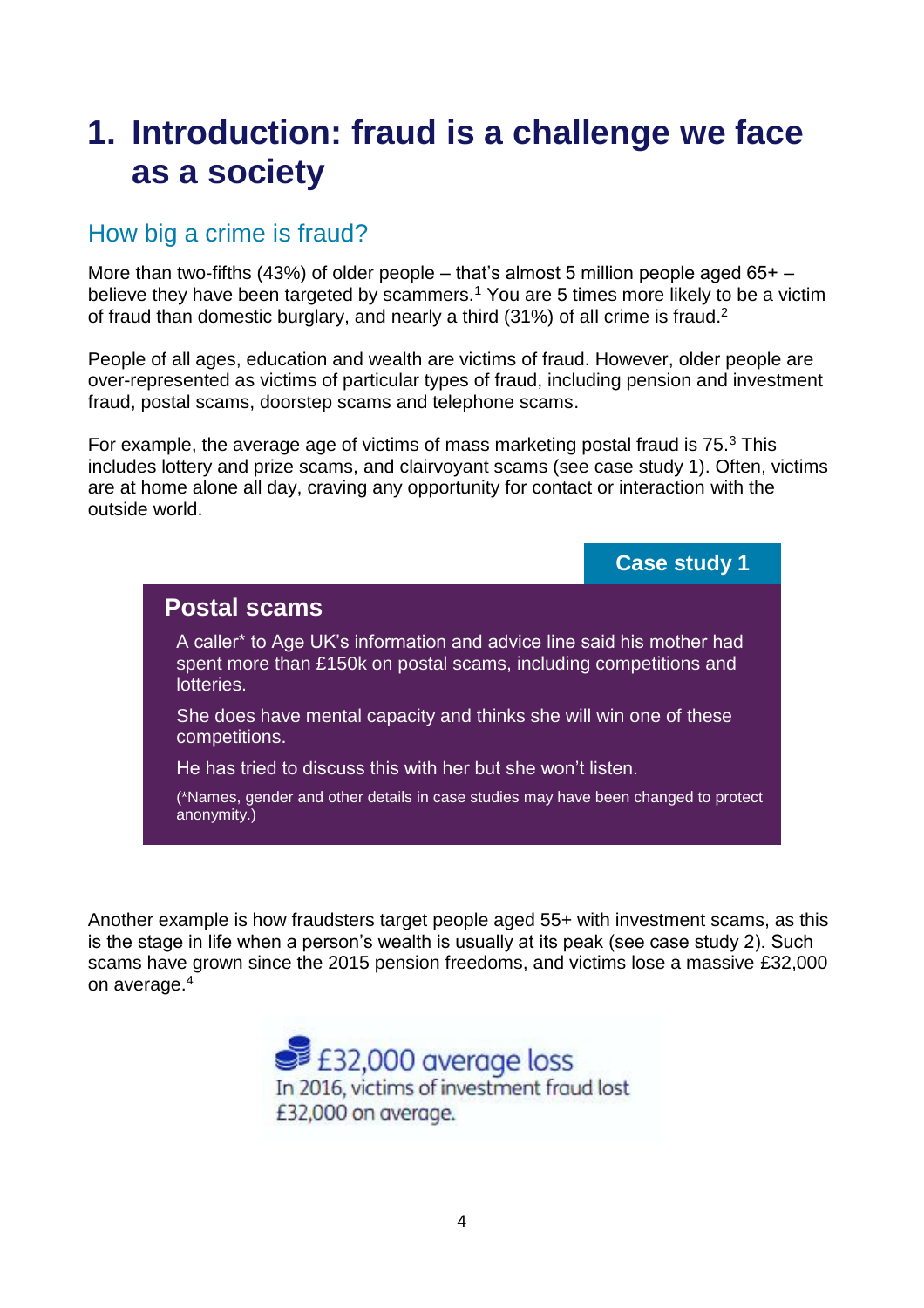## **1. Introduction: fraud is a challenge we face as a society**

### How big a crime is fraud?

More than two-fifths (43%) of older people – that's almost 5 million people aged  $65+$  – believe they have been targeted by scammers.<sup>1</sup> You are 5 times more likely to be a victim of fraud than domestic burglary, and nearly a third (31%) of all crime is fraud.<sup>2</sup>

People of all ages, education and wealth are victims of fraud. However, older people are over-represented as victims of particular types of fraud, including pension and investment fraud, postal scams, doorstep scams and telephone scams.

For example, the average age of victims of mass marketing postal fraud is  $75.<sup>3</sup>$  This includes lottery and prize scams, and clairvoyant scams (see case study 1). Often, victims are at home alone all day, craving any opportunity for contact or interaction with the outside world.



Another example is how fraudsters target people aged 55+ with investment scams, as this is the stage in life when a person's wealth is usually at its peak (see case study 2). Such scams have grown since the 2015 pension freedoms, and victims lose a massive £32,000 on average.<sup>4</sup>

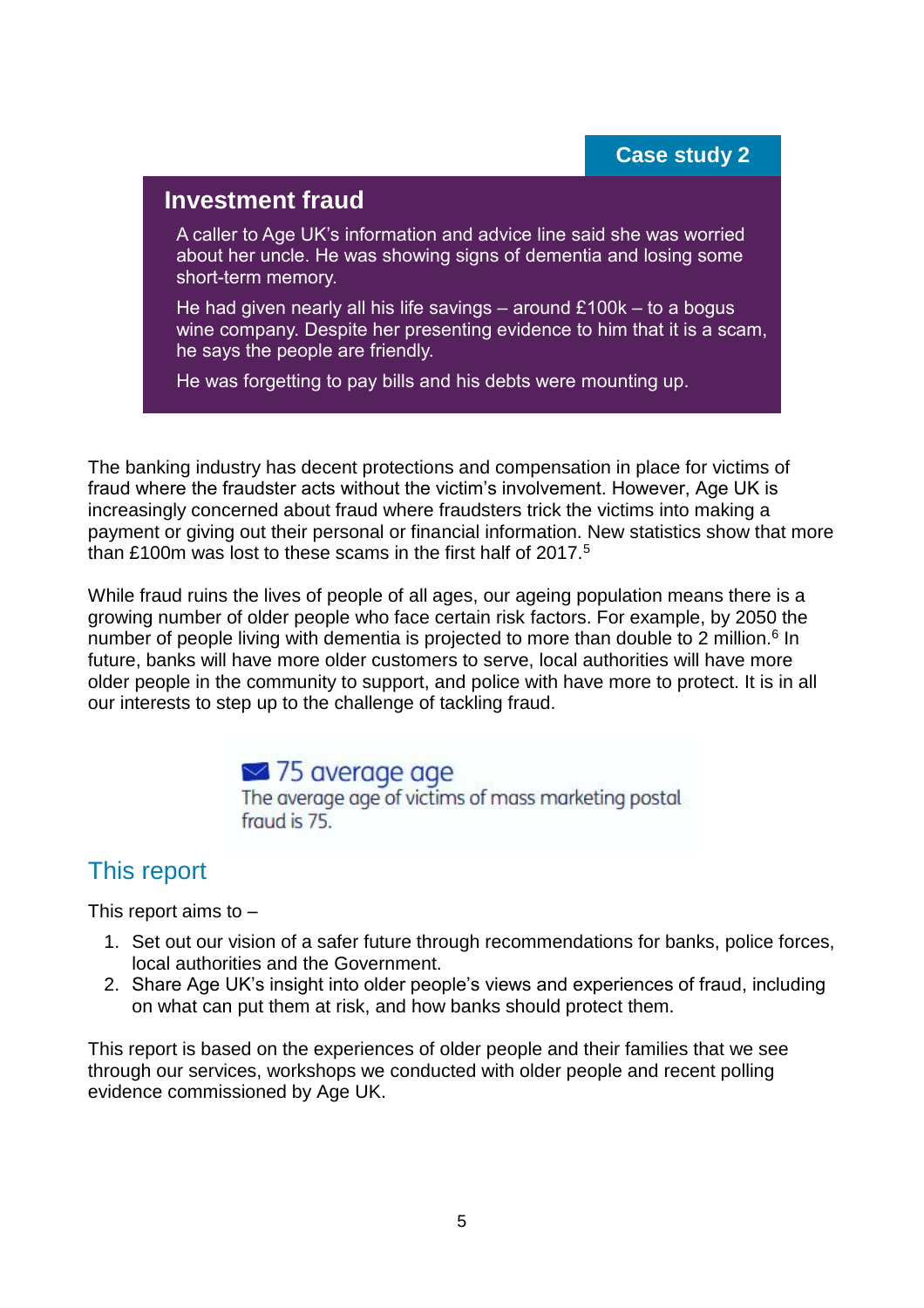#### **Case study 2**

#### **Investment fraud**

A caller to Age UK's information and advice line said she was worried about her uncle. He was showing signs of dementia and losing some short-term memory.

He had given nearly all his life savings – around £100k – to a bogus wine company. Despite her presenting evidence to him that it is a scam, he says the people are friendly.

He was forgetting to pay bills and his debts were mounting up.

The banking industry has decent protections and compensation in place for victims of fraud where the fraudster acts without the victim's involvement. However, Age UK is increasingly concerned about fraud where fraudsters trick the victims into making a payment or giving out their personal or financial information. New statistics show that more than £100m was lost to these scams in the first half of 2017.<sup>5</sup>

While fraud ruins the lives of people of all ages, our ageing population means there is a growing number of older people who face certain risk factors. For example, by 2050 the number of people living with dementia is projected to more than double to 2 million.<sup>6</sup> In future, banks will have more older customers to serve, local authorities will have more older people in the community to support, and police with have more to protect. It is in all our interests to step up to the challenge of tackling fraud.

### **■ 75 average age**

The average age of victims of mass marketing postal fraud is 75.

### This report

This report aims to –

- 1. Set out our vision of a safer future through recommendations for banks, police forces, local authorities and the Government.
- 2. Share Age UK's insight into older people's views and experiences of fraud, including on what can put them at risk, and how banks should protect them.

This report is based on the experiences of older people and their families that we see through our services, workshops we conducted with older people and recent polling evidence commissioned by Age UK.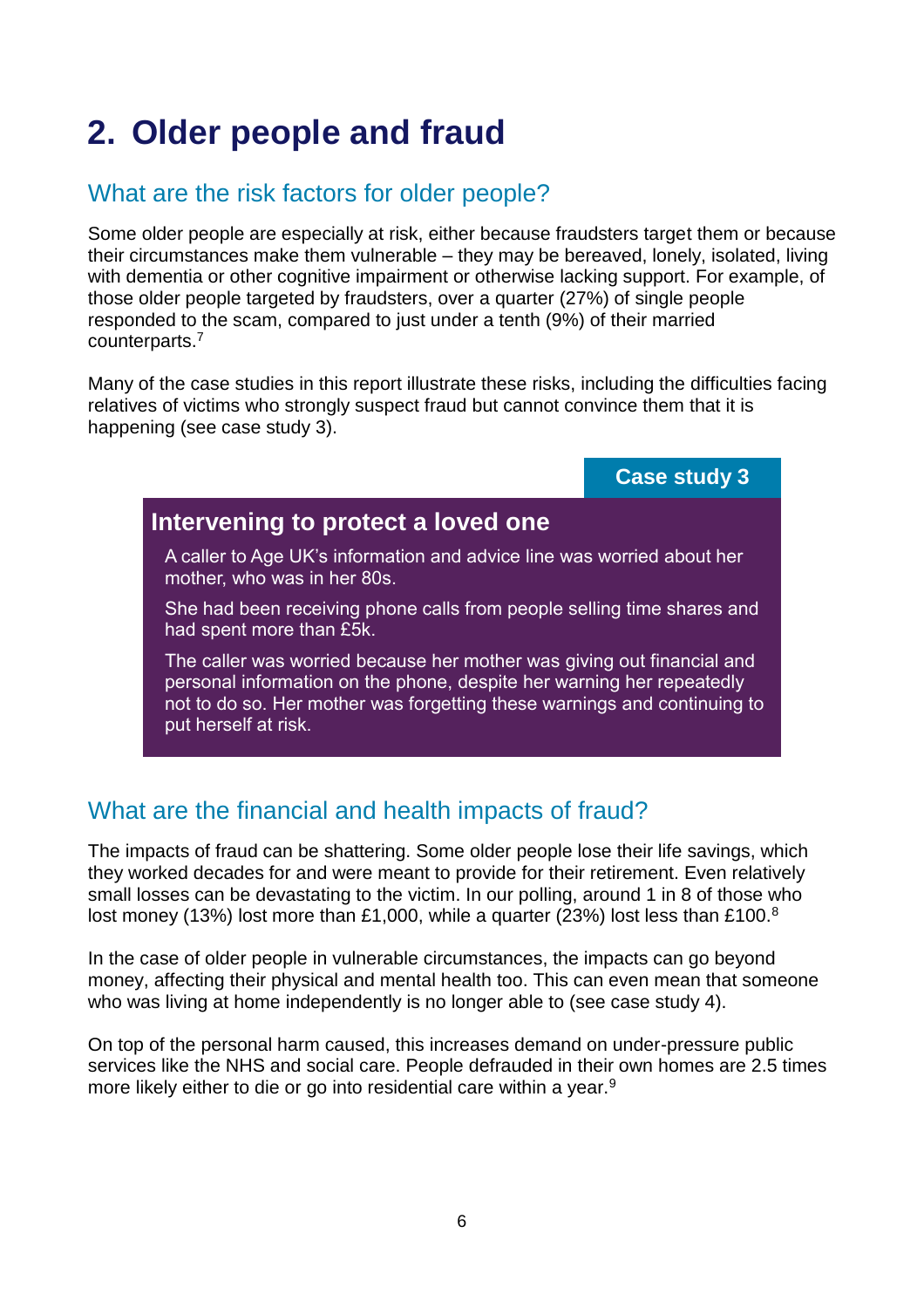# **2. Older people and fraud**

### What are the risk factors for older people?

Some older people are especially at risk, either because fraudsters target them or because their circumstances make them vulnerable – they may be bereaved, lonely, isolated, living with dementia or other cognitive impairment or otherwise lacking support. For example, of those older people targeted by fraudsters, over a quarter (27%) of single people responded to the scam, compared to just under a tenth (9%) of their married counterparts.<sup>7</sup>

Many of the case studies in this report illustrate these risks, including the difficulties facing relatives of victims who strongly suspect fraud but cannot convince them that it is happening (see case study 3).

#### **Case study 3**

### **Intervening to protect a loved one**

A caller to Age UK's information and advice line was worried about her mother, who was in her 80s.

She had been receiving phone calls from people selling time shares and had spent more than £5k.

The caller was worried because her mother was giving out financial and personal information on the phone, despite her warning her repeatedly not to do so. Her mother was forgetting these warnings and continuing to put herself at risk.

### What are the financial and health impacts of fraud?

The impacts of fraud can be shattering. Some older people lose their life savings, which they worked decades for and were meant to provide for their retirement. Even relatively small losses can be devastating to the victim. In our polling, around 1 in 8 of those who lost money (13%) lost more than £1,000, while a quarter (23%) lost less than £100.<sup>8</sup>

In the case of older people in vulnerable circumstances, the impacts can go beyond money, affecting their physical and mental health too. This can even mean that someone who was living at home independently is no longer able to (see case study 4).

On top of the personal harm caused, this increases demand on under-pressure public services like the NHS and social care. People defrauded in their own homes are 2.5 times more likely either to die or go into residential care within a year.<sup>9</sup>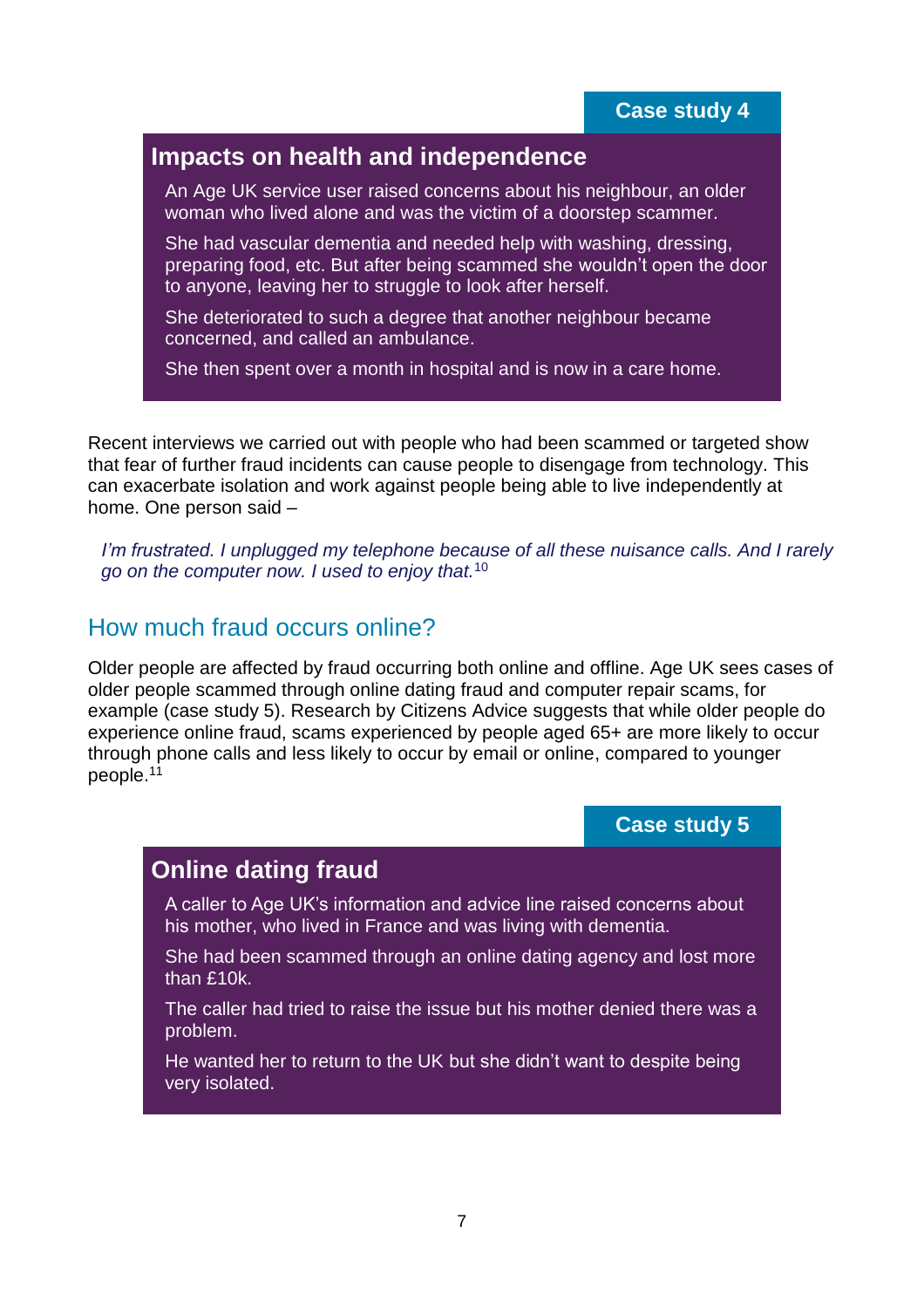### **Impacts on health and independence**

An Age UK service user raised concerns about his neighbour, an older woman who lived alone and was the victim of a doorstep scammer.

She had vascular dementia and needed help with washing, dressing, preparing food, etc. But after being scammed she wouldn't open the door to anyone, leaving her to struggle to look after herself.

She deteriorated to such a degree that another neighbour became concerned, and called an ambulance.

She then spent over a month in hospital and is now in a care home.

Recent interviews we carried out with people who had been scammed or targeted show that fear of further fraud incidents can cause people to disengage from technology. This can exacerbate isolation and work against people being able to live independently at home. One person said –

*I'm frustrated. I unplugged my telephone because of all these nuisance calls. And I rarely go on the computer now. I used to enjoy that.*<sup>10</sup>

### How much fraud occurs online?

Older people are affected by fraud occurring both online and offline. Age UK sees cases of older people scammed through online dating fraud and computer repair scams, for example (case study 5). Research by Citizens Advice suggests that while older people do experience online fraud, scams experienced by people aged 65+ are more likely to occur through phone calls and less likely to occur by email or online, compared to younger people.<sup>11</sup>

#### **Case study 5**

#### **Online dating fraud**

A caller to Age UK's information and advice line raised concerns about his mother, who lived in France and was living with dementia.

She had been scammed through an online dating agency and lost more than £10k.

The caller had tried to raise the issue but his mother denied there was a problem.

He wanted her to return to the UK but she didn't want to despite being very isolated.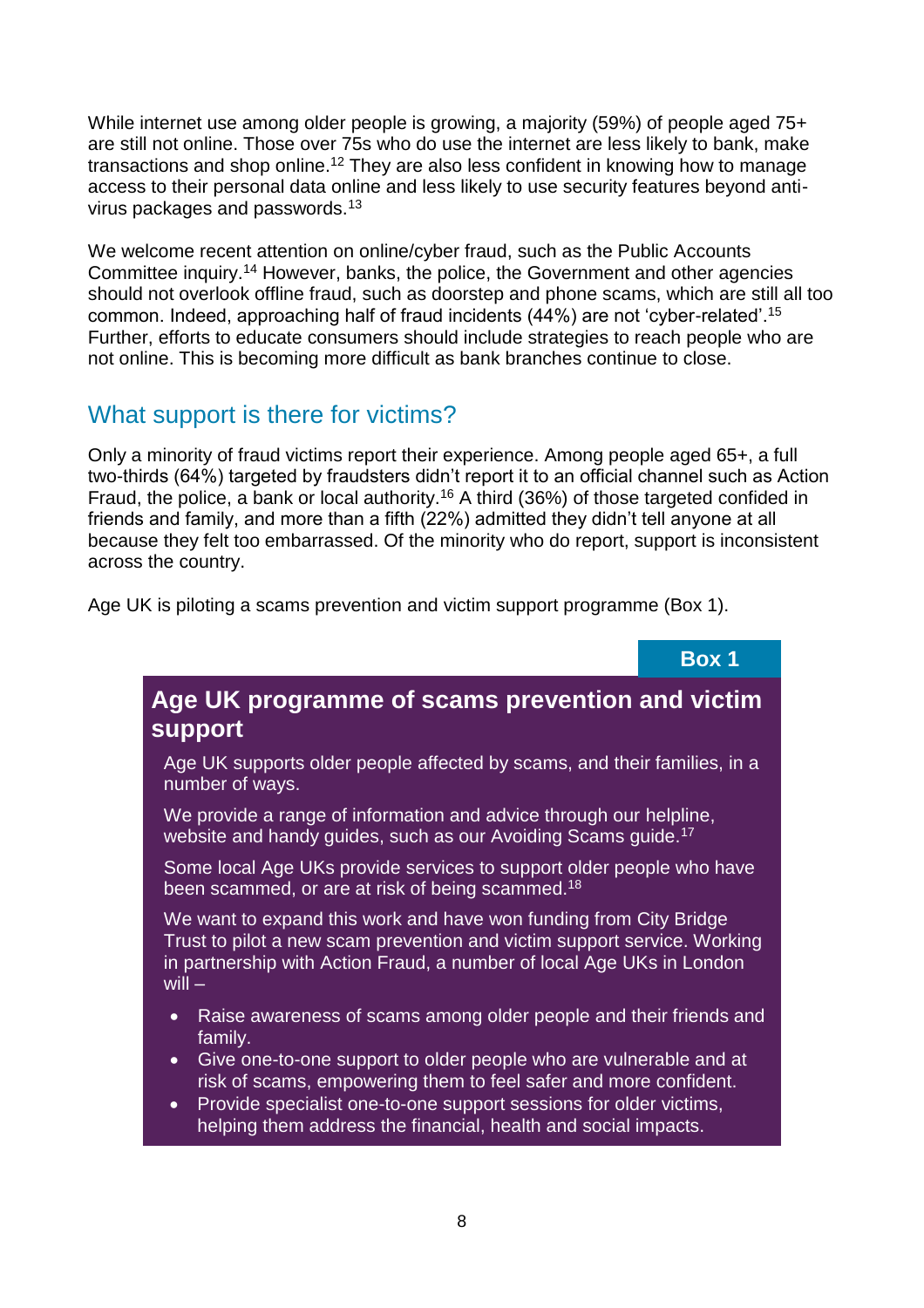While internet use among older people is growing, a majority (59%) of people aged 75+ are still not online. Those over 75s who do use the internet are less likely to bank, make transactions and shop online.<sup>12</sup> They are also less confident in knowing how to manage access to their personal data online and less likely to use security features beyond antivirus packages and passwords.<sup>13</sup>

We welcome recent attention on online/cyber fraud, such as the Public Accounts Committee inquiry.<sup>14</sup> However, banks, the police, the Government and other agencies should not overlook offline fraud, such as doorstep and phone scams, which are still all too common. Indeed, approaching half of fraud incidents (44%) are not 'cyber-related'.<sup>15</sup> Further, efforts to educate consumers should include strategies to reach people who are not online. This is becoming more difficult as bank branches continue to close.

### What support is there for victims?

Only a minority of fraud victims report their experience. Among people aged 65+, a full two-thirds (64%) targeted by fraudsters didn't report it to an official channel such as Action Fraud, the police, a bank or local authority.<sup>16</sup> A third (36%) of those targeted confided in friends and family, and more than a fifth (22%) admitted they didn't tell anyone at all because they felt too embarrassed. Of the minority who do report, support is inconsistent across the country.

Age UK is piloting a scams prevention and victim support programme (Box 1).



### **Age UK programme of scams prevention and victim support**

Age UK supports older people affected by scams, and their families, in a number of ways.

We provide a range of information and advice through our helpline, website and handy guides, such as our Avoiding Scams guide.<sup>17</sup>

Some local Age UKs provide services to support older people who have been scammed, or are at risk of being scammed.<sup>18</sup>

We want to expand this work and have won funding from City Bridge Trust to pilot a new scam prevention and victim support service. Working in partnership with Action Fraud, a number of local Age UKs in London will  $-$ 

- Raise awareness of scams among older people and their friends and family.
- Give one-to-one support to older people who are vulnerable and at risk of scams, empowering them to feel safer and more confident.
- Provide specialist one-to-one support sessions for older victims, helping them address the financial, health and social impacts.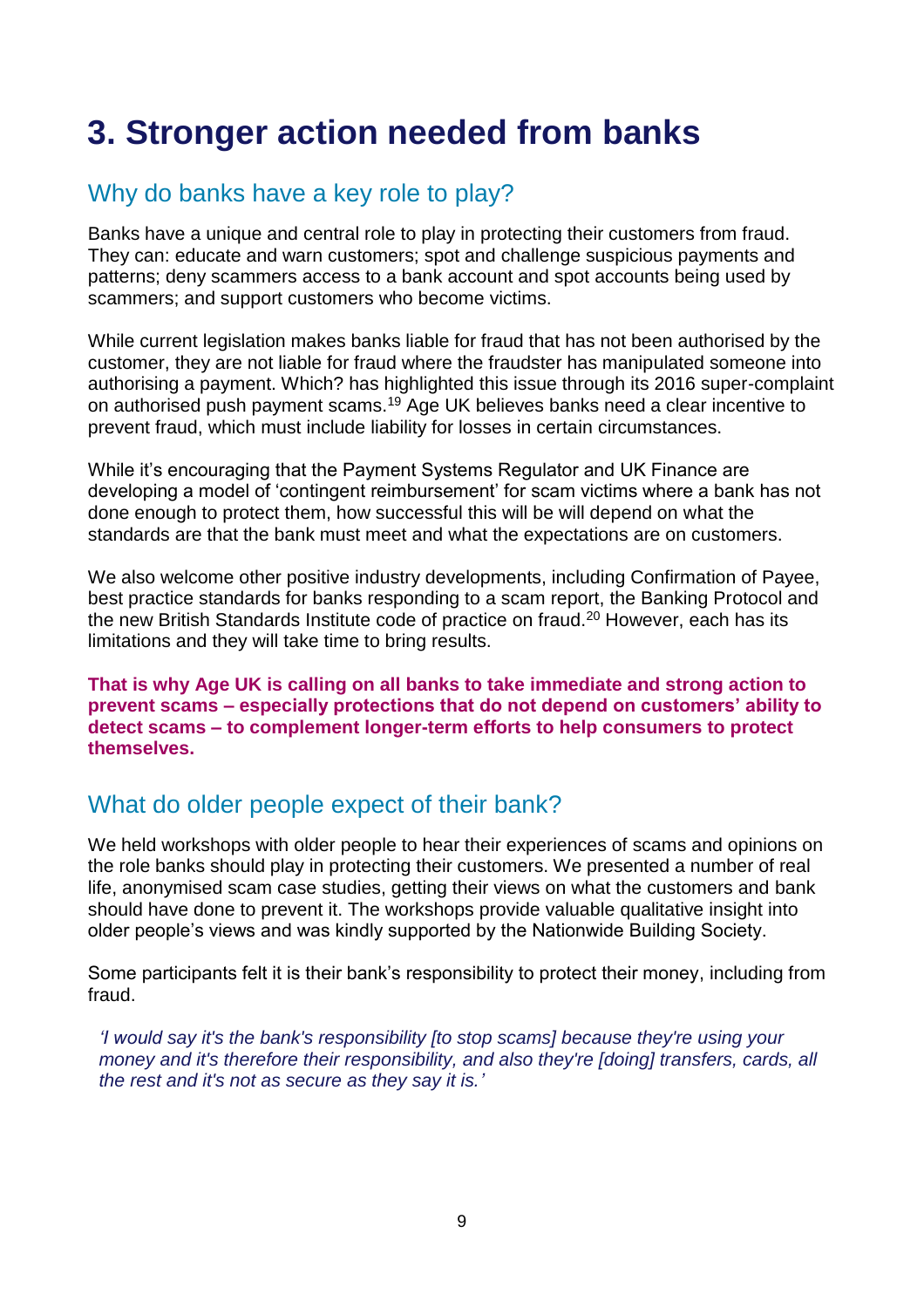# **3. Stronger action needed from banks**

### Why do banks have a key role to play?

Banks have a unique and central role to play in protecting their customers from fraud. They can: educate and warn customers; spot and challenge suspicious payments and patterns; deny scammers access to a bank account and spot accounts being used by scammers; and support customers who become victims.

While current legislation makes banks liable for fraud that has not been authorised by the customer, they are not liable for fraud where the fraudster has manipulated someone into authorising a payment. Which? has highlighted this issue through its 2016 super-complaint on authorised push payment scams.<sup>19</sup> Age UK believes banks need a clear incentive to prevent fraud, which must include liability for losses in certain circumstances.

While it's encouraging that the Payment Systems Regulator and UK Finance are developing a model of 'contingent reimbursement' for scam victims where a bank has not done enough to protect them, how successful this will be will depend on what the standards are that the bank must meet and what the expectations are on customers.

We also welcome other positive industry developments, including Confirmation of Payee, best practice standards for banks responding to a scam report, the Banking Protocol and the new British Standards Institute code of practice on fraud.<sup>20</sup> However, each has its limitations and they will take time to bring results.

**That is why Age UK is calling on all banks to take immediate and strong action to prevent scams – especially protections that do not depend on customers' ability to detect scams – to complement longer-term efforts to help consumers to protect themselves.**

### What do older people expect of their bank?

We held workshops with older people to hear their experiences of scams and opinions on the role banks should play in protecting their customers. We presented a number of real life, anonymised scam case studies, getting their views on what the customers and bank should have done to prevent it. The workshops provide valuable qualitative insight into older people's views and was kindly supported by the Nationwide Building Society.

Some participants felt it is their bank's responsibility to protect their money, including from fraud.

*'I would say it's the bank's responsibility [to stop scams] because they're using your money and it's therefore their responsibility, and also they're [doing] transfers, cards, all the rest and it's not as secure as they say it is.'*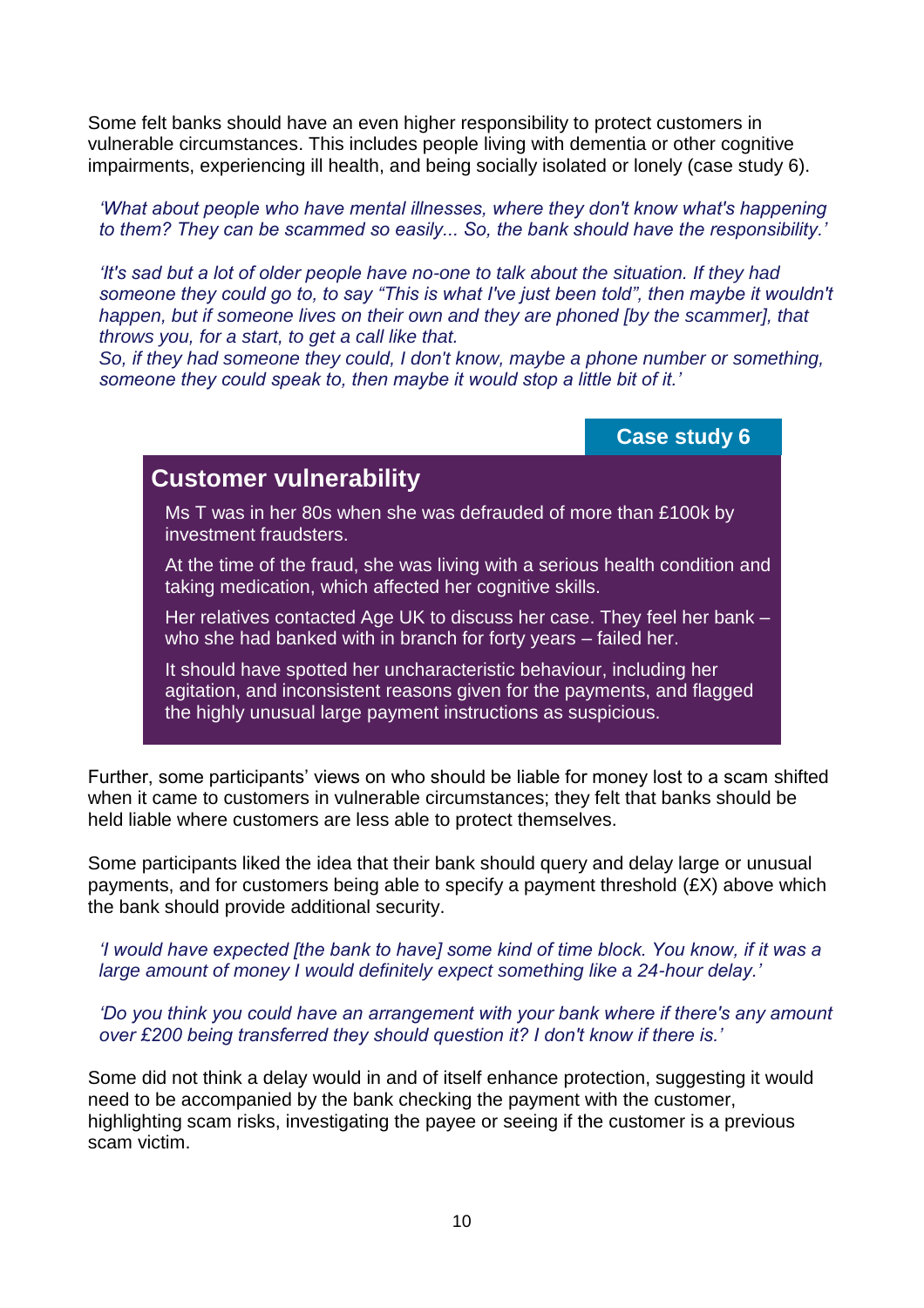Some felt banks should have an even higher responsibility to protect customers in vulnerable circumstances. This includes people living with dementia or other cognitive impairments, experiencing ill health, and being socially isolated or lonely (case study 6).

*'What about people who have mental illnesses, where they don't know what's happening to them? They can be scammed so easily... So, the bank should have the responsibility.'*

*'It's sad but a lot of older people have no-one to talk about the situation. If they had someone they could go to, to say "This is what I've just been told", then maybe it wouldn't happen, but if someone lives on their own and they are phoned [by the scammer], that throws you, for a start, to get a call like that.* 

*So, if they had someone they could, I don't know, maybe a phone number or something, someone they could speak to, then maybe it would stop a little bit of it.'*

**Case study 6**

### **Customer vulnerability**

Ms T was in her 80s when she was defrauded of more than £100k by investment fraudsters.

At the time of the fraud, she was living with a serious health condition and taking medication, which affected her cognitive skills.

Her relatives contacted Age UK to discuss her case. They feel her bank – who she had banked with in branch for forty years – failed her.

It should have spotted her uncharacteristic behaviour, including her agitation, and inconsistent reasons given for the payments, and flagged the highly unusual large payment instructions as suspicious.

Further, some participants' views on who should be liable for money lost to a scam shifted when it came to customers in vulnerable circumstances; they felt that banks should be held liable where customers are less able to protect themselves.

Some participants liked the idea that their bank should query and delay large or unusual payments, and for customers being able to specify a payment threshold (£X) above which the bank should provide additional security.

*'I would have expected [the bank to have] some kind of time block. You know, if it was a large amount of money I would definitely expect something like a 24-hour delay.'*

*'Do you think you could have an arrangement with your bank where if there's any amount over £200 being transferred they should question it? I don't know if there is.'*

Some did not think a delay would in and of itself enhance protection, suggesting it would need to be accompanied by the bank checking the payment with the customer, highlighting scam risks, investigating the payee or seeing if the customer is a previous scam victim.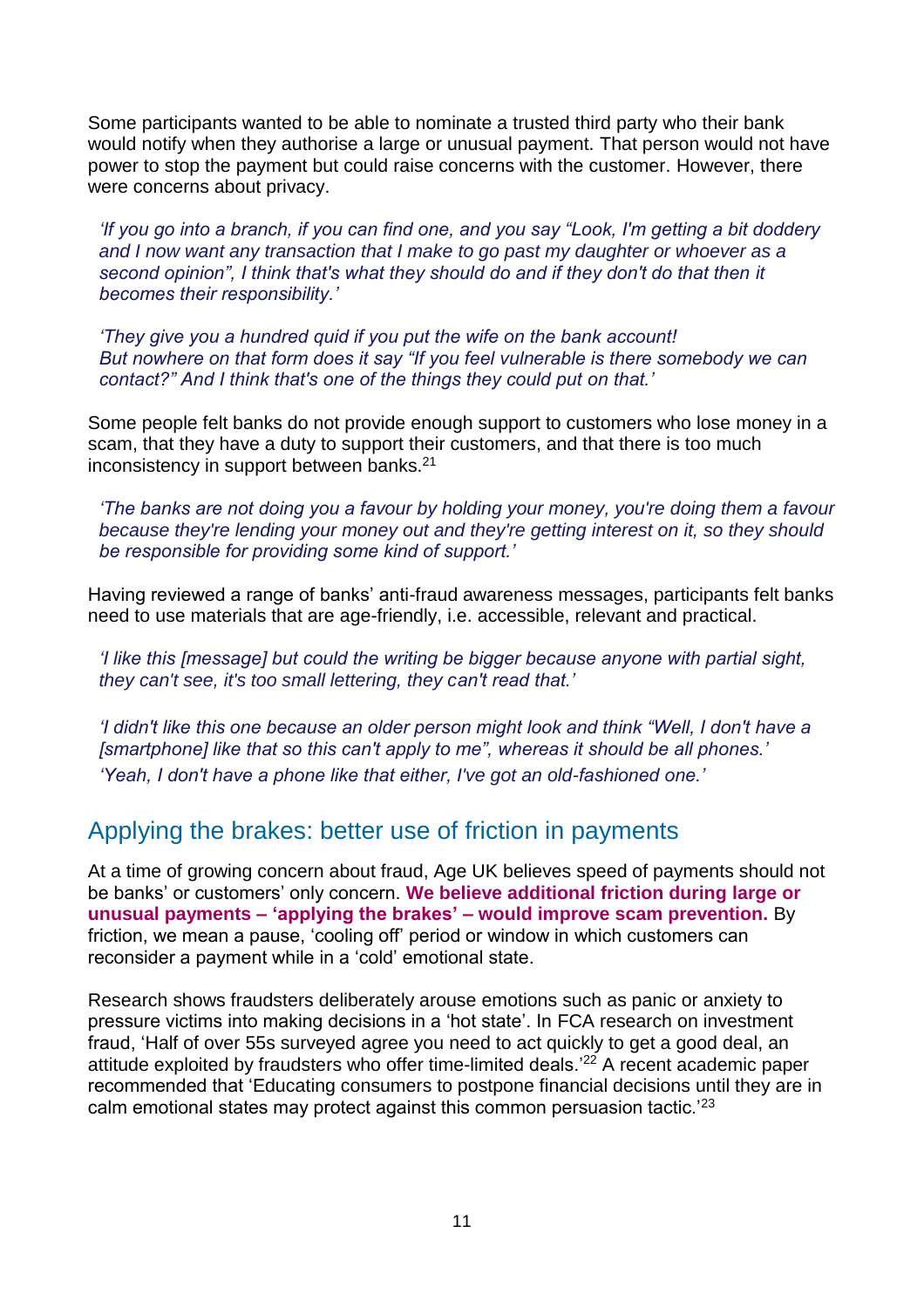Some participants wanted to be able to nominate a trusted third party who their bank would notify when they authorise a large or unusual payment. That person would not have power to stop the payment but could raise concerns with the customer. However, there were concerns about privacy.

*'If you go into a branch, if you can find one, and you say "Look, I'm getting a bit doddery and I now want any transaction that I make to go past my daughter or whoever as a second opinion", I think that's what they should do and if they don't do that then it becomes their responsibility.'*

*'They give you a hundred quid if you put the wife on the bank account! But nowhere on that form does it say "If you feel vulnerable is there somebody we can contact?" And I think that's one of the things they could put on that.'* 

Some people felt banks do not provide enough support to customers who lose money in a scam, that they have a duty to support their customers, and that there is too much inconsistency in support between banks.<sup>21</sup>

*'The banks are not doing you a favour by holding your money, you're doing them a favour because they're lending your money out and they're getting interest on it, so they should be responsible for providing some kind of support.'*

Having reviewed a range of banks' anti-fraud awareness messages, participants felt banks need to use materials that are age-friendly, i.e. accessible, relevant and practical.

*'I like this [message] but could the writing be bigger because anyone with partial sight, they can't see, it's too small lettering, they can't read that.'*

*'I didn't like this one because an older person might look and think "Well, I don't have a [smartphone] like that so this can't apply to me", whereas it should be all phones.' 'Yeah, I don't have a phone like that either, I've got an old-fashioned one.'*

### Applying the brakes: better use of friction in payments

At a time of growing concern about fraud, Age UK believes speed of payments should not be banks' or customers' only concern. **We believe additional friction during large or unusual payments – 'applying the brakes' – would improve scam prevention.** By friction, we mean a pause, 'cooling off' period or window in which customers can reconsider a payment while in a 'cold' emotional state.

Research shows fraudsters deliberately arouse emotions such as panic or anxiety to pressure victims into making decisions in a 'hot state'. In FCA research on investment fraud, 'Half of over 55s surveyed agree you need to act quickly to get a good deal, an attitude exploited by fraudsters who offer time-limited deals.'<sup>22</sup> A recent academic paper recommended that 'Educating consumers to postpone financial decisions until they are in calm emotional states may protect against this common persuasion tactic.'23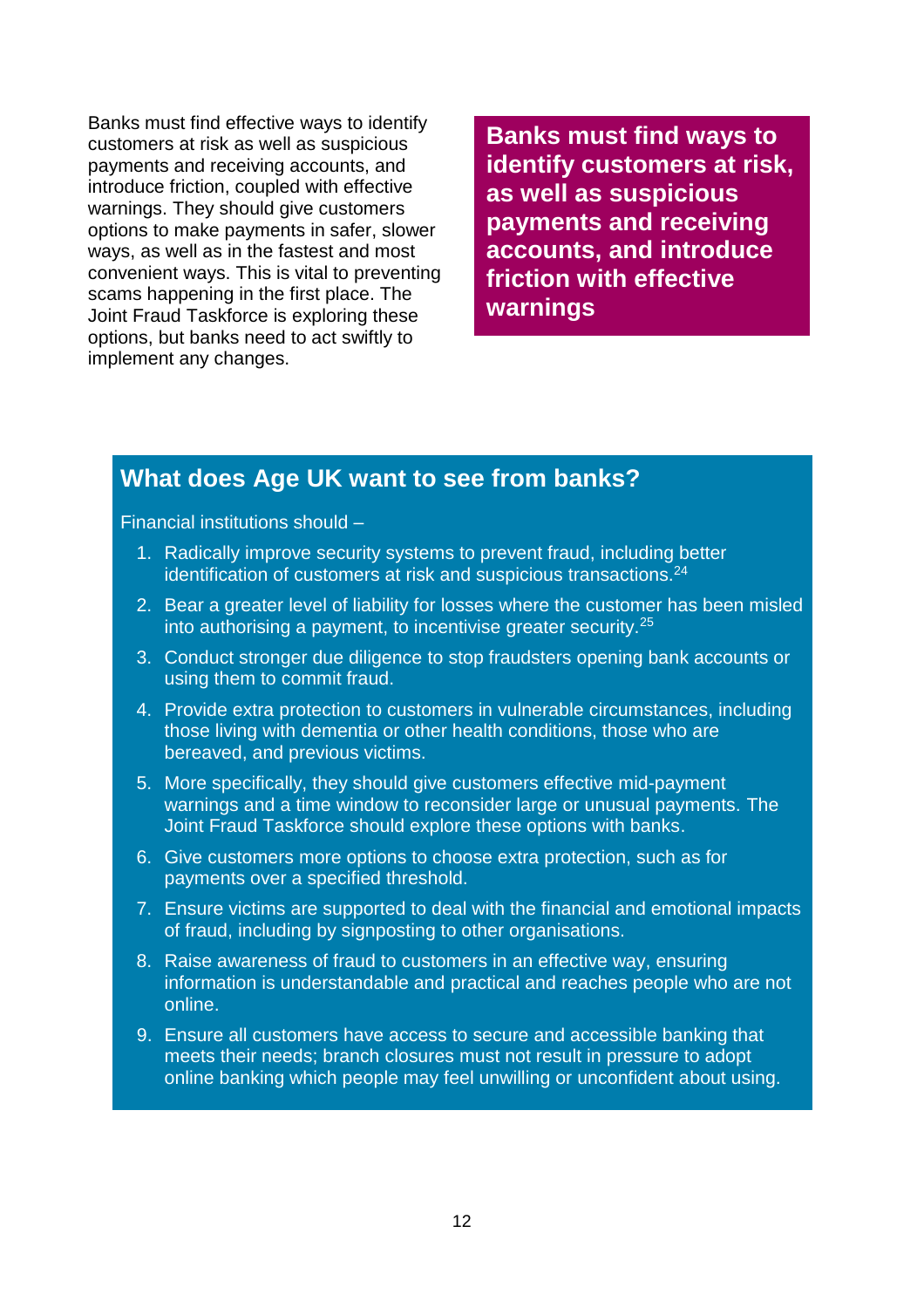Banks must find effective ways to identify customers at risk as well as suspicious payments and receiving accounts, and introduce friction, coupled with effective warnings. They should give customers options to make payments in safer, slower ways, as well as in the fastest and most convenient ways. This is vital to preventing scams happening in the first place. The Joint Fraud Taskforce is exploring these options, but banks need to act swiftly to implement any changes.

**Banks must find ways to identify customers at risk, as well as suspicious payments and receiving accounts, and introduce friction with effective warnings**

#### **What does Age UK want to see from banks?**

Financial institutions should –

- 1. Radically improve security systems to prevent fraud, including better identification of customers at risk and suspicious transactions.<sup>24</sup>
- 2. Bear a greater level of liability for losses where the customer has been misled into authorising a payment, to incentivise greater security.<sup>25</sup>
- 3. Conduct stronger due diligence to stop fraudsters opening bank accounts or using them to commit fraud.
- 4. Provide extra protection to customers in vulnerable circumstances, including those living with dementia or other health conditions, those who are bereaved, and previous victims.
- 5. More specifically, they should give customers effective mid-payment warnings and a time window to reconsider large or unusual payments. The Joint Fraud Taskforce should explore these options with banks.
- 6. Give customers more options to choose extra protection, such as for payments over a specified threshold.
- 7. Ensure victims are supported to deal with the financial and emotional impacts of fraud, including by signposting to other organisations.
- 8. Raise awareness of fraud to customers in an effective way, ensuring information is understandable and practical and reaches people who are not online.
- 9. Ensure all customers have access to secure and accessible banking that meets their needs; branch closures must not result in pressure to adopt online banking which people may feel unwilling or unconfident about using.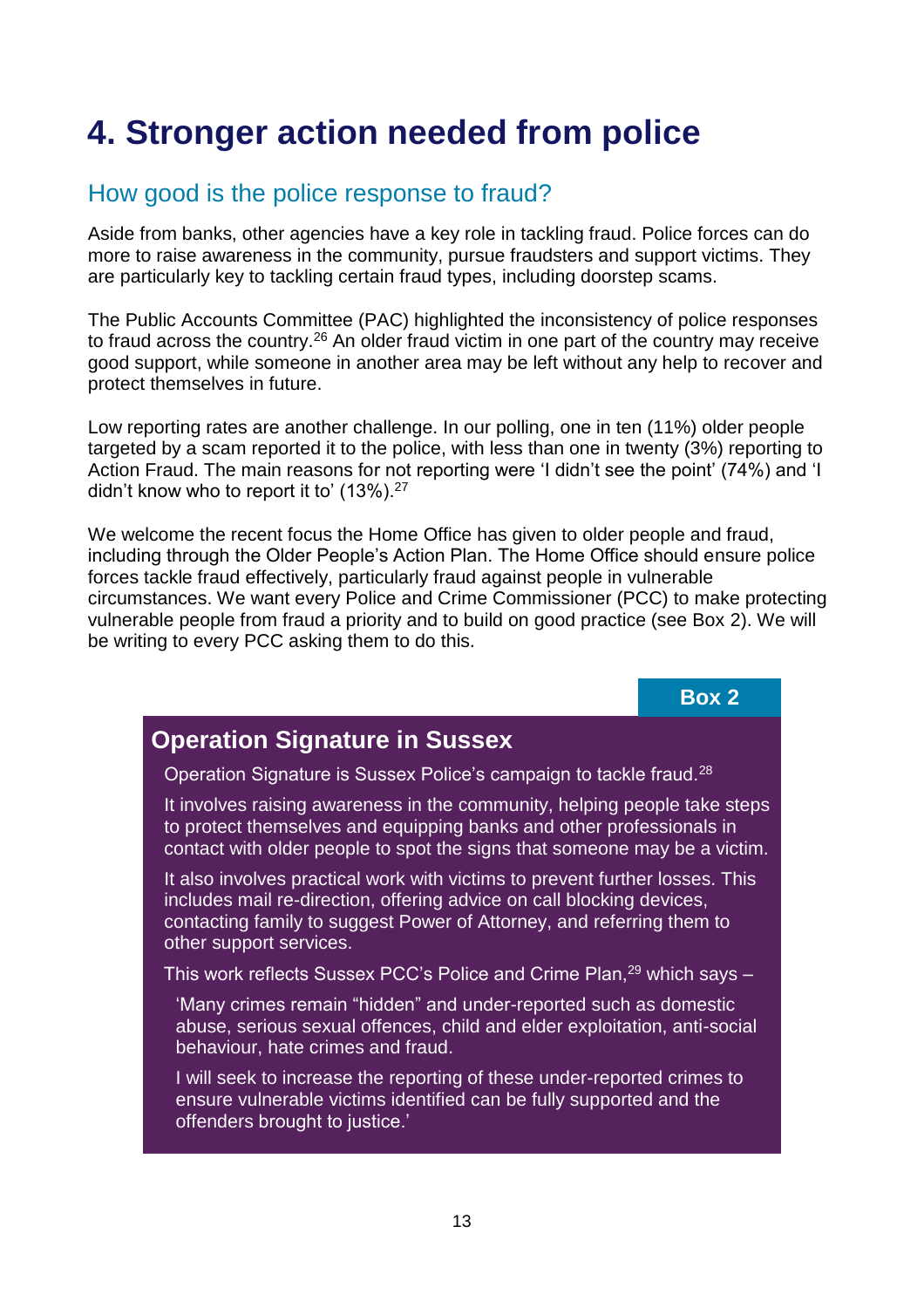# **4. Stronger action needed from police**

### How good is the police response to fraud?

Aside from banks, other agencies have a key role in tackling fraud. Police forces can do more to raise awareness in the community, pursue fraudsters and support victims. They are particularly key to tackling certain fraud types, including doorstep scams.

The Public Accounts Committee (PAC) highlighted the inconsistency of police responses to fraud across the country.<sup>26</sup> An older fraud victim in one part of the country may receive good support, while someone in another area may be left without any help to recover and protect themselves in future.

Low reporting rates are another challenge. In our polling, one in ten (11%) older people targeted by a scam reported it to the police, with less than one in twenty (3%) reporting to Action Fraud. The main reasons for not reporting were 'I didn't see the point' (74%) and 'I didn't know who to report it to' (13%).<sup>27</sup>

We welcome the recent focus the Home Office has given to older people and fraud, including through the Older People's Action Plan. The Home Office should ensure police forces tackle fraud effectively, particularly fraud against people in vulnerable circumstances. We want every Police and Crime Commissioner (PCC) to make protecting vulnerable people from fraud a priority and to build on good practice (see Box 2). We will be writing to every PCC asking them to do this.

**Box 2**

### **Operation Signature in Sussex**

Operation Signature is Sussex Police's campaign to tackle fraud.<sup>28</sup>

It involves raising awareness in the community, helping people take steps to protect themselves and equipping banks and other professionals in contact with older people to spot the signs that someone may be a victim.

It also involves practical work with victims to prevent further losses. This includes mail re-direction, offering advice on call blocking devices, contacting family to suggest Power of Attorney, and referring them to other support services.

This work reflects Sussex PCC's Police and Crime Plan,<sup>29</sup> which says -

'Many crimes remain "hidden" and under-reported such as domestic abuse, serious sexual offences, child and elder exploitation, anti-social behaviour, hate crimes and fraud.

I will seek to increase the reporting of these under-reported crimes to ensure vulnerable victims identified can be fully supported and the offenders brought to justice.'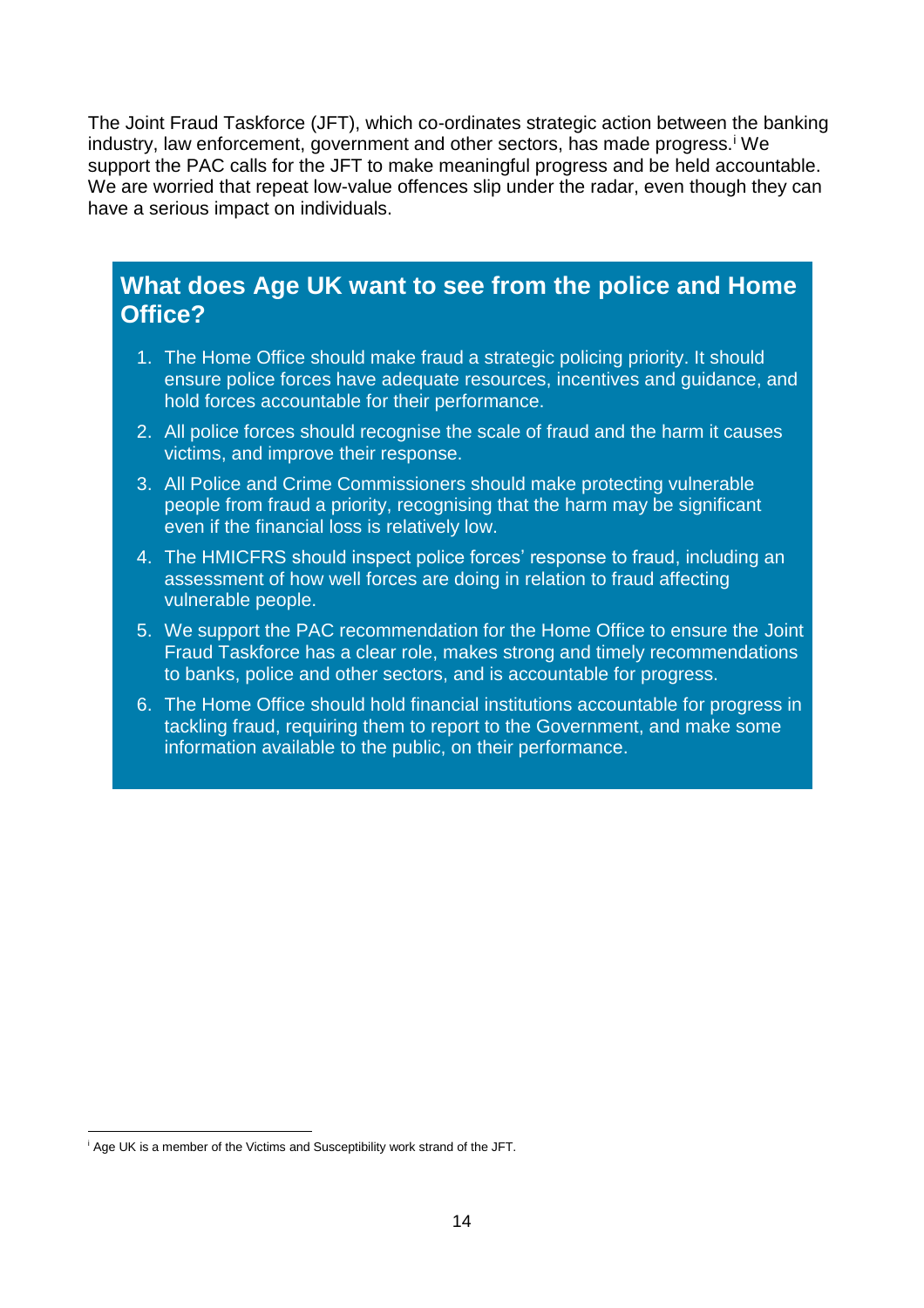The Joint Fraud Taskforce (JFT), which co-ordinates strategic action between the banking industry, law enforcement, government and other sectors, has made progress.<sup>i</sup> We support the PAC calls for the JFT to make meaningful progress and be held accountable. We are worried that repeat low-value offences slip under the radar, even though they can have a serious impact on individuals.

### **What does Age UK want to see from the police and Home Office?**

- 1. The Home Office should make fraud a strategic policing priority. It should ensure police forces have adequate resources, incentives and guidance, and hold forces accountable for their performance.
- 2. All police forces should recognise the scale of fraud and the harm it causes victims, and improve their response.
- 3. All Police and Crime Commissioners should make protecting vulnerable people from fraud a priority, recognising that the harm may be significant even if the financial loss is relatively low.
- 4. The HMICFRS should inspect police forces' response to fraud, including an assessment of how well forces are doing in relation to fraud affecting vulnerable people.
- 5. We support the PAC recommendation for the Home Office to ensure the Joint Fraud Taskforce has a clear role, makes strong and timely recommendations to banks, police and other sectors, and is accountable for progress.
- 6. The Home Office should hold financial institutions accountable for progress in tackling fraud, requiring them to report to the Government, and make some information available to the public, on their performance.

 $\overline{\phantom{a}}$ <sup>i</sup> Age UK is a member of the Victims and Susceptibility work strand of the JFT.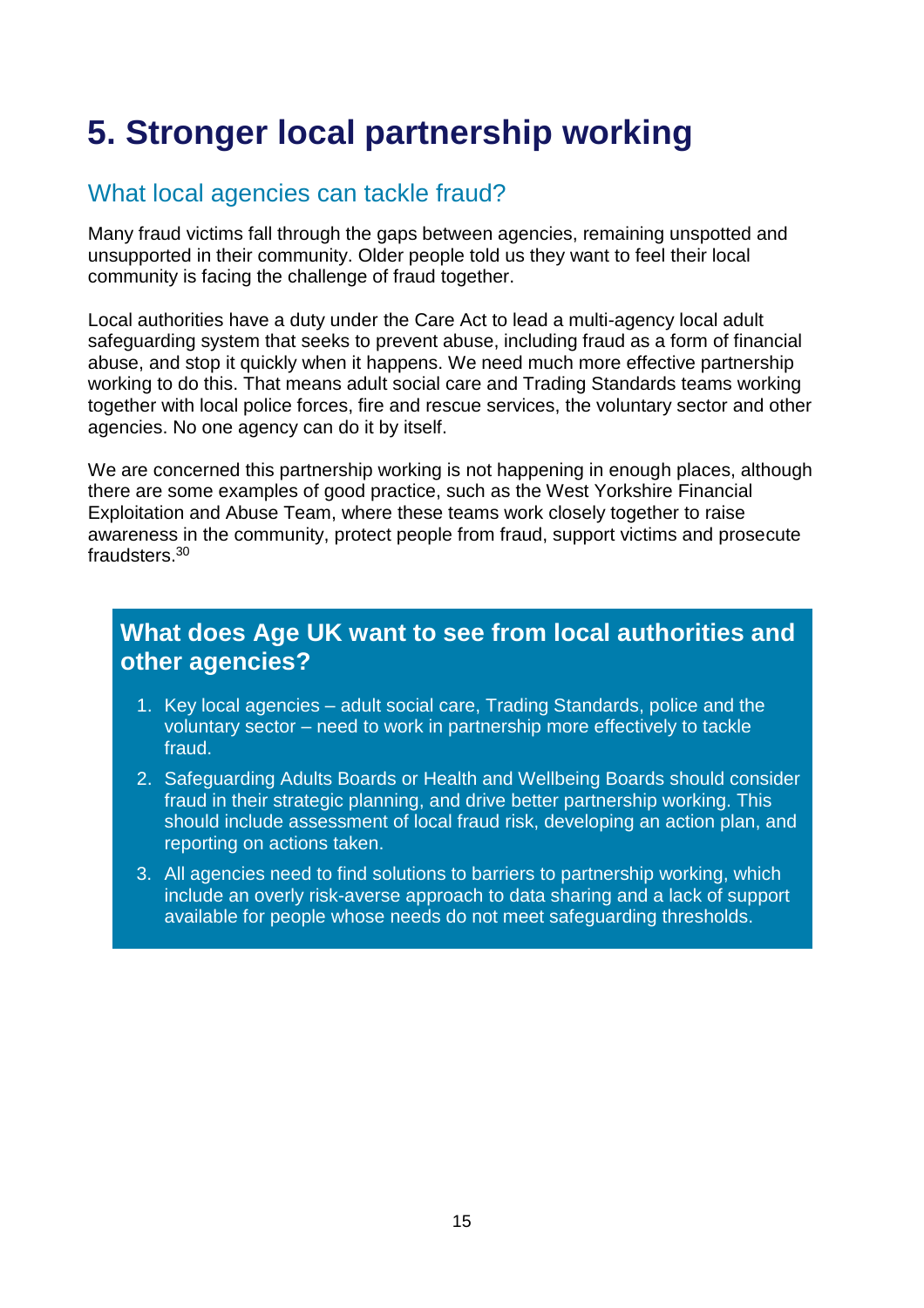# **5. Stronger local partnership working**

### What local agencies can tackle fraud?

Many fraud victims fall through the gaps between agencies, remaining unspotted and unsupported in their community. Older people told us they want to feel their local community is facing the challenge of fraud together.

Local authorities have a duty under the Care Act to lead a multi-agency local adult safeguarding system that seeks to prevent abuse, including fraud as a form of financial abuse, and stop it quickly when it happens. We need much more effective partnership working to do this. That means adult social care and Trading Standards teams working together with local police forces, fire and rescue services, the voluntary sector and other agencies. No one agency can do it by itself.

We are concerned this partnership working is not happening in enough places, although there are some examples of good practice, such as the West Yorkshire Financial Exploitation and Abuse Team, where these teams work closely together to raise awareness in the community, protect people from fraud, support victims and prosecute fraudsters.<sup>30</sup>

### **What does Age UK want to see from local authorities and other agencies?**

- 1. Key local agencies adult social care, Trading Standards, police and the voluntary sector – need to work in partnership more effectively to tackle fraud.
- 2. Safeguarding Adults Boards or Health and Wellbeing Boards should consider fraud in their strategic planning, and drive better partnership working. This should include assessment of local fraud risk, developing an action plan, and reporting on actions taken.
- 3. All agencies need to find solutions to barriers to partnership working, which include an overly risk-averse approach to data sharing and a lack of support available for people whose needs do not meet safeguarding thresholds.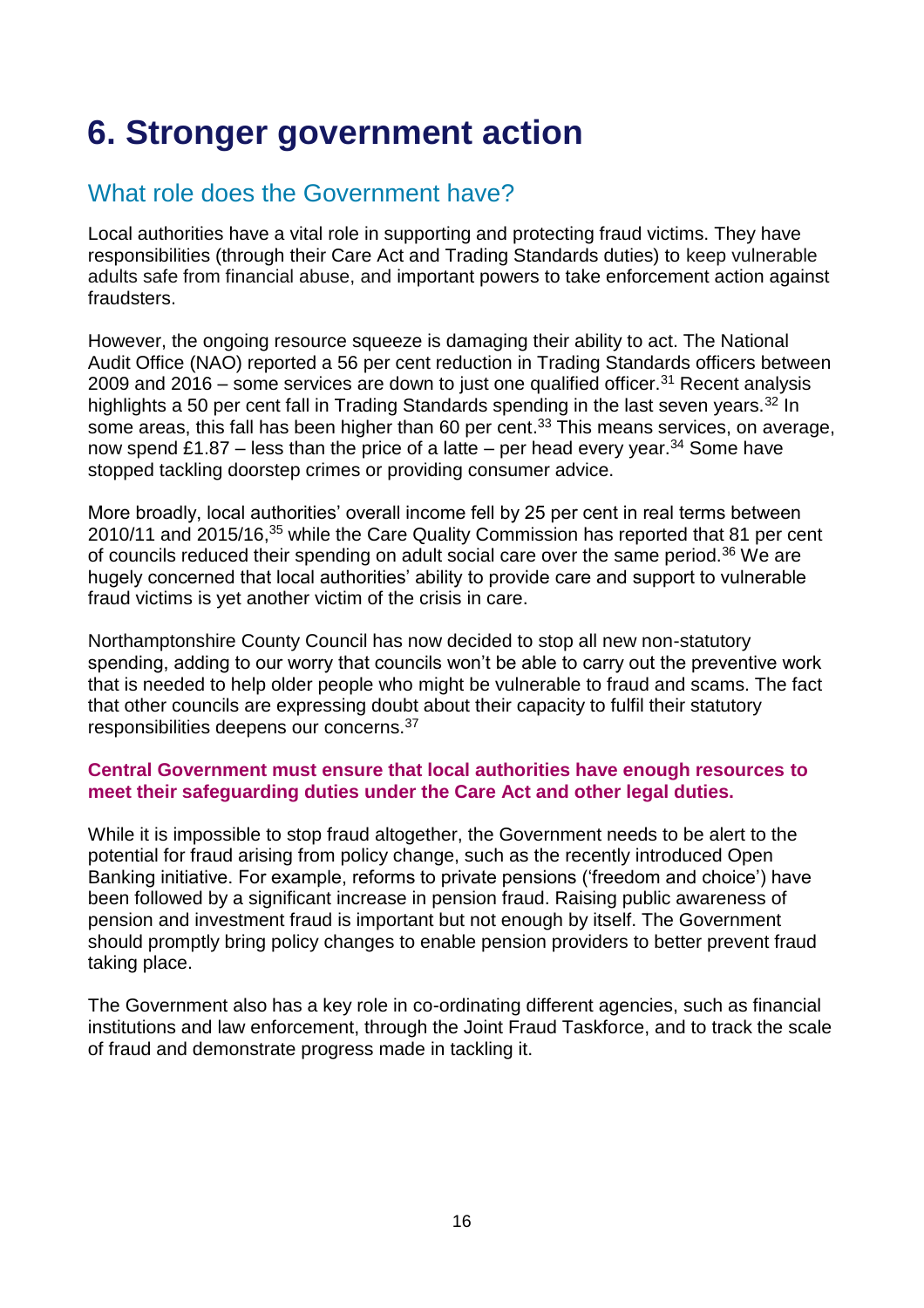# **6. Stronger government action**

### What role does the Government have?

Local authorities have a vital role in supporting and protecting fraud victims. They have responsibilities (through their Care Act and Trading Standards duties) to keep vulnerable adults safe from financial abuse, and important powers to take enforcement action against fraudsters.

However, the ongoing resource squeeze is damaging their ability to act. The National Audit Office (NAO) reported a 56 per cent reduction in Trading Standards officers between 2009 and 2016 – some services are down to just one qualified officer.<sup>31</sup> Recent analysis highlights a 50 per cent fall in Trading Standards spending in the last seven years.<sup>32</sup> In some areas, this fall has been higher than 60 per cent. <sup>33</sup> This means services, on average, now spend £1.87 – less than the price of a latte – per head every year.<sup>34</sup> Some have stopped tackling doorstep crimes or providing consumer advice.

More broadly, local authorities' overall income fell by 25 per cent in real terms between 2010/11 and 2015/16,<sup>35</sup> while the Care Quality Commission has reported that 81 per cent of councils reduced their spending on adult social care over the same period.<sup>36</sup> We are hugely concerned that local authorities' ability to provide care and support to vulnerable fraud victims is yet another victim of the crisis in care.

Northamptonshire County Council has now decided to stop all new non-statutory spending, adding to our worry that councils won't be able to carry out the preventive work that is needed to help older people who might be vulnerable to fraud and scams. The fact that other councils are expressing doubt about their capacity to fulfil their statutory responsibilities deepens our concerns.<sup>37</sup>

#### **Central Government must ensure that local authorities have enough resources to meet their safeguarding duties under the Care Act and other legal duties.**

While it is impossible to stop fraud altogether, the Government needs to be alert to the potential for fraud arising from policy change, such as the recently introduced Open Banking initiative. For example, reforms to private pensions ('freedom and choice') have been followed by a significant increase in pension fraud. Raising public awareness of pension and investment fraud is important but not enough by itself. The Government should promptly bring policy changes to enable pension providers to better prevent fraud taking place.

The Government also has a key role in co-ordinating different agencies, such as financial institutions and law enforcement, through the Joint Fraud Taskforce, and to track the scale of fraud and demonstrate progress made in tackling it.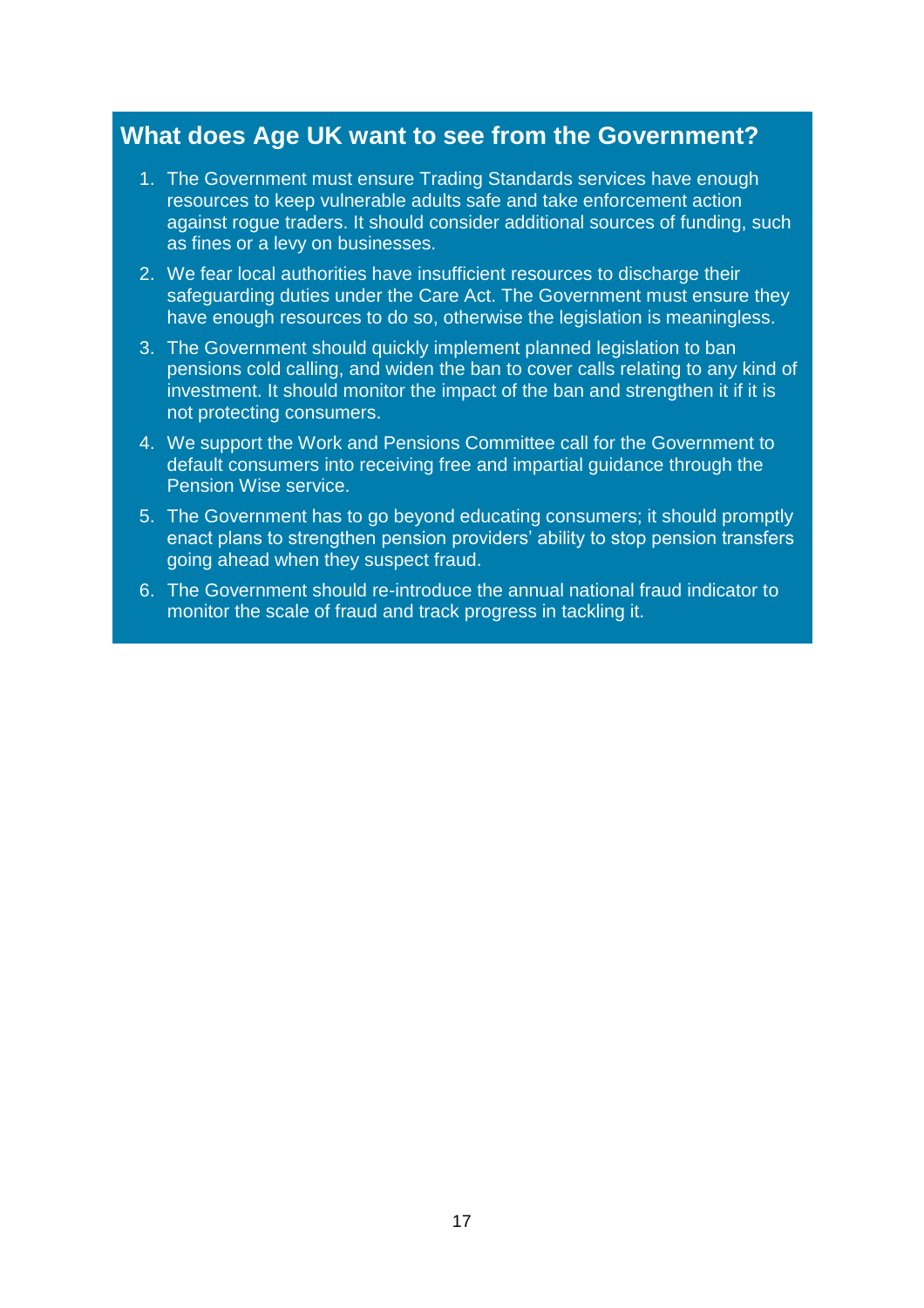### **What does Age UK want to see from the Government?**

- 1. The Government must ensure Trading Standards services have enough resources to keep vulnerable adults safe and take enforcement action against rogue traders. It should consider additional sources of funding, such as fines or a levy on businesses.
- 2. We fear local authorities have insufficient resources to discharge their safeguarding duties under the Care Act. The Government must ensure they have enough resources to do so, otherwise the legislation is meaningless.
- 3. The Government should quickly implement planned legislation to ban pensions cold calling, and widen the ban to cover calls relating to any kind of investment. It should monitor the impact of the ban and strengthen it if it is not protecting consumers.
- 4. We support the Work and Pensions Committee call for the Government to default consumers into receiving free and impartial guidance through the Pension Wise service.
- 5. The Government has to go beyond educating consumers; it should promptly enact plans to strengthen pension providers' ability to stop pension transfers going ahead when they suspect fraud.
- 6. The Government should re-introduce the annual national fraud indicator to monitor the scale of fraud and track progress in tackling it.